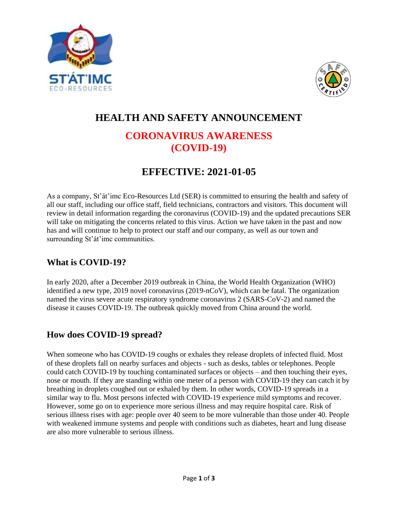



# **HEALTH AND SAFETY ANNOUNCEMENT CORONAVIRUS AWARENESS (COVID-19)**

# **EFFECTIVE: 2021-01-05**

As a company, St'át'imc Eco-Resources Ltd (SER) is committed to ensuring the health and safety of all our staff, including our office staff, field technicians, contractors and visitors. This document will review in detail information regarding the coronavirus (COVID-19) and the updated precautions SER will take on mitigating the concerns related to this virus. Action we have taken in the past and now has and will continue to help to protect our staff and our company, as well as our town and surrounding St'át'imc communities.

# **What is COVID-19?**

In early 2020, after a December 2019 outbreak in China, the World Health Organization (WHO) identified a new type, 2019 novel coronavirus (2019-nCoV), which can be fatal. The organization named the virus severe acute respiratory syndrome coronavirus 2 (SARS-CoV-2) and named the disease it causes COVID-19. The outbreak quickly moved from China around the world.

# **How does COVID-19 spread?**

When someone who has COVID-19 coughs or exhales they release droplets of infected fluid. Most of these droplets fall on nearby surfaces and objects - such as desks, tables or telephones. People could catch COVID-19 by touching contaminated surfaces or objects – and then touching their eyes, nose or mouth. If they are standing within one meter of a person with COVID-19 they can catch it by breathing in droplets coughed out or exhaled by them. In other words, COVID-19 spreads in a similar way to flu. Most persons infected with COVID-19 experience mild symptoms and recover. However, some go on to experience more serious illness and may require hospital care. Risk of serious illness rises with age: people over 40 seem to be more vulnerable than those under 40. People with weakened immune systems and people with conditions such as diabetes, heart and lung disease are also more vulnerable to serious illness.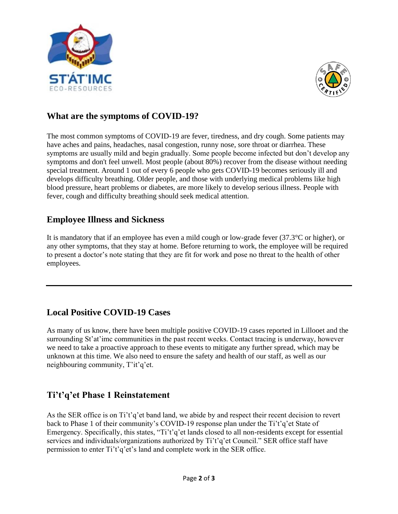



#### **What are the symptoms of COVID-19?**

The most common symptoms of COVID-19 are fever, tiredness, and dry cough. Some patients may have aches and pains, headaches, nasal congestion, runny nose, sore throat or diarrhea. These symptoms are usually mild and begin gradually. Some people become infected but don't develop any symptoms and don't feel unwell. Most people (about 80%) recover from the disease without needing special treatment. Around 1 out of every 6 people who gets COVID-19 becomes seriously ill and develops difficulty breathing. Older people, and those with underlying medical problems like high blood pressure, heart problems or diabetes, are more likely to develop serious illness. People with fever, cough and difficulty breathing should seek medical attention.

#### **Employee Illness and Sickness**

It is mandatory that if an employee has even a mild cough or low-grade fever (37.3°C or higher), or any other symptoms, that they stay at home. Before returning to work, the employee will be required to present a doctor's note stating that they are fit for work and pose no threat to the health of other employees.

#### **Local Positive COVID-19 Cases**

As many of us know, there have been multiple positive COVID-19 cases reported in Lillooet and the surrounding St'at'imc communities in the past recent weeks. Contact tracing is underway, however we need to take a proactive approach to these events to mitigate any further spread, which may be unknown at this time. We also need to ensure the safety and health of our staff, as well as our neighbouring community, T'it'q'et.

#### **Ti't'q'et Phase 1 Reinstatement**

As the SER office is on Ti't'q'et band land, we abide by and respect their recent decision to revert back to Phase 1 of their community's COVID-19 response plan under the Ti't'q'et State of Emergency. Specifically, this states, "Ti't'q'et lands closed to all non-residents except for essential services and individuals/organizations authorized by Ti't'q'et Council." SER office staff have permission to enter Ti't'q'et's land and complete work in the SER office.